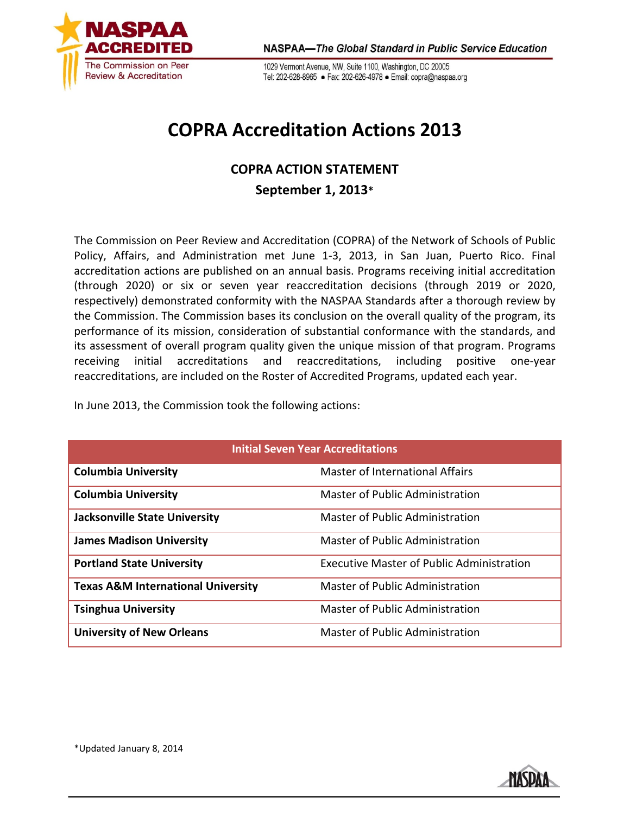

1029 Vermont Avenue, NW, Suite 1100, Washington, DC 20005 Tel: 202-628-8965 · Fax: 202-626-4978 · Email: copra@naspaa.org

## **COPRA Accreditation Actions 2013**

## **COPRA ACTION STATEMENT September 1, 2013\***

The Commission on Peer Review and Accreditation (COPRA) of the Network of Schools of Public Policy, Affairs, and Administration met June 1-3, 2013, in San Juan, Puerto Rico. Final accreditation actions are published on an annual basis. Programs receiving initial accreditation (through 2020) or six or seven year reaccreditation decisions (through 2019 or 2020, respectively) demonstrated conformity with the NASPAA Standards after a thorough review by the Commission. The Commission bases its conclusion on the overall quality of the program, its performance of its mission, consideration of substantial conformance with the standards, and its assessment of overall program quality given the unique mission of that program. Programs receiving initial accreditations and reaccreditations, including positive one-year reaccreditations, are included on the Roster of Accredited Programs, updated each year.

In June 2013, the Commission took the following actions:

| <b>Initial Seven Year Accreditations</b>      |                                                  |  |
|-----------------------------------------------|--------------------------------------------------|--|
| <b>Columbia University</b>                    | Master of International Affairs                  |  |
| <b>Columbia University</b>                    | Master of Public Administration                  |  |
| <b>Jacksonville State University</b>          | Master of Public Administration                  |  |
| <b>James Madison University</b>               | Master of Public Administration                  |  |
| <b>Portland State University</b>              | <b>Executive Master of Public Administration</b> |  |
| <b>Texas A&amp;M International University</b> | Master of Public Administration                  |  |
| <b>Tsinghua University</b>                    | Master of Public Administration                  |  |
| <b>University of New Orleans</b>              | Master of Public Administration                  |  |

\*Updated January 8, 2014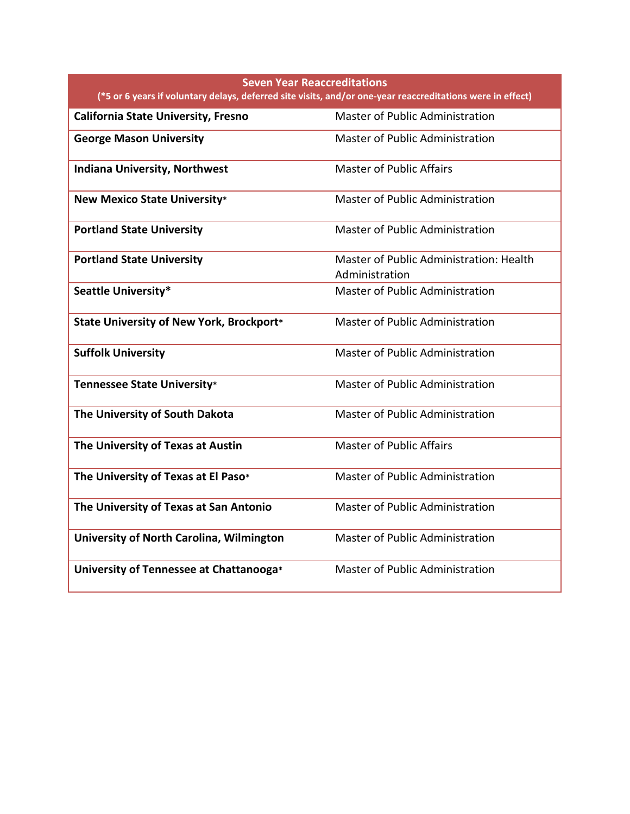| <b>Seven Year Reaccreditations</b><br>(*5 or 6 years if voluntary delays, deferred site visits, and/or one-year reaccreditations were in effect) |                                                           |  |
|--------------------------------------------------------------------------------------------------------------------------------------------------|-----------------------------------------------------------|--|
| <b>California State University, Fresno</b>                                                                                                       | Master of Public Administration                           |  |
| <b>George Mason University</b>                                                                                                                   | <b>Master of Public Administration</b>                    |  |
| <b>Indiana University, Northwest</b>                                                                                                             | <b>Master of Public Affairs</b>                           |  |
| <b>New Mexico State University*</b>                                                                                                              | Master of Public Administration                           |  |
| <b>Portland State University</b>                                                                                                                 | Master of Public Administration                           |  |
| <b>Portland State University</b>                                                                                                                 | Master of Public Administration: Health<br>Administration |  |
| Seattle University*                                                                                                                              | Master of Public Administration                           |  |
| State University of New York, Brockport*                                                                                                         | Master of Public Administration                           |  |
| <b>Suffolk University</b>                                                                                                                        | <b>Master of Public Administration</b>                    |  |
| <b>Tennessee State University*</b>                                                                                                               | <b>Master of Public Administration</b>                    |  |
| The University of South Dakota                                                                                                                   | Master of Public Administration                           |  |
| The University of Texas at Austin                                                                                                                | <b>Master of Public Affairs</b>                           |  |
| The University of Texas at El Paso*                                                                                                              | <b>Master of Public Administration</b>                    |  |
| The University of Texas at San Antonio                                                                                                           | Master of Public Administration                           |  |
| University of North Carolina, Wilmington                                                                                                         | Master of Public Administration                           |  |
| University of Tennessee at Chattanooga*                                                                                                          | <b>Master of Public Administration</b>                    |  |